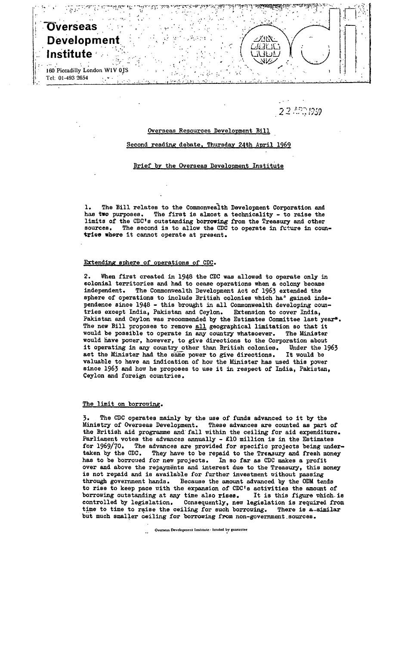# **"Overseas Development ^ Institute**

**160 Piccadilly London WIV OJS**  *i* **Tel: 01-493 2654**   $\epsilon$  ,  $\epsilon$  .

22.493.1939

317

**-1-: :** *'V* 

#### Overseas Resources Development Bill

# Second reading debate. Thursday 24th April 1969

#### Brief by the Overseas Development Institute

1. The Bill relates to the Commonwealth Development Corporation and has two purposes. The first is almost a technicality - to raise the limits of the CDC's outstanding borrowing from the Treasury and other sources. The second is to allow the CDC to operate in future in countries where it cannot operate at present.

### Extending sphere of operations of CDC.

2. When first created in 1948 the CDC was allowed to operate only in colonial territories and had to cease operations when a colony became independent. The Commonwealth Development Act of **I963** extended the sphere of operations to include British colonies which ha<sup>1</sup> gained independence since 1948 - this brought in all Commonwealth developing countries except India, Pakistan and Ceylon. Extension to cover India, Pakistan and Ceylon was recommended by the Estimates Committee last year\*. The new Bill proposes to remove all geographical limitation so that it would be possible to operate in any country whatsoever. The Minister would have power, however, to give directions to the Corporation about it operating in any country other than British colonies. Under the 1963 act the Minister had the same power to give directions. It would be valuable to have an indication of how the Minister has used this power since 1963 and how he proposes to use it in respect of India, Pakistan, Ceylon and foreign countries.

#### The limit on borrowing.

The CDC operates mainly by the use of funds advanced to it by the Ministry of Overseas Development. These advances are counted as part of the British aid programme and fall within the ceiling for aid expenditure. Parliament votes the advances annually - £10 million is in the Estimates for 1969/70. The advances are provided for specific projects being undertaken by the CDC. They have to be repaid to the Treasury and fresh money has to be borroved for new projects. In so far as CDC makes a profit over and above the repayments and interest due to the Treasury, this money is not repaid and is available for further investment without passing through government hands. Because the amount advanced by the ODM tends to rise to keep pace with the expansion of CDC's activities the amount of borrowing outstanding at any time also rises. It is this figure which is borrowing outstanding at any time also rises. It is this figure which is controlled by legislation. Consequently, new legislation is required from time to time to raise the ceiling for such borrowing. There is a similar time to time to raise the ceiling for such borrowing. There is a similar but much smaller ceiling for borrowing from non-government sources.

**Overseas Development Institute - limited by guarantee**